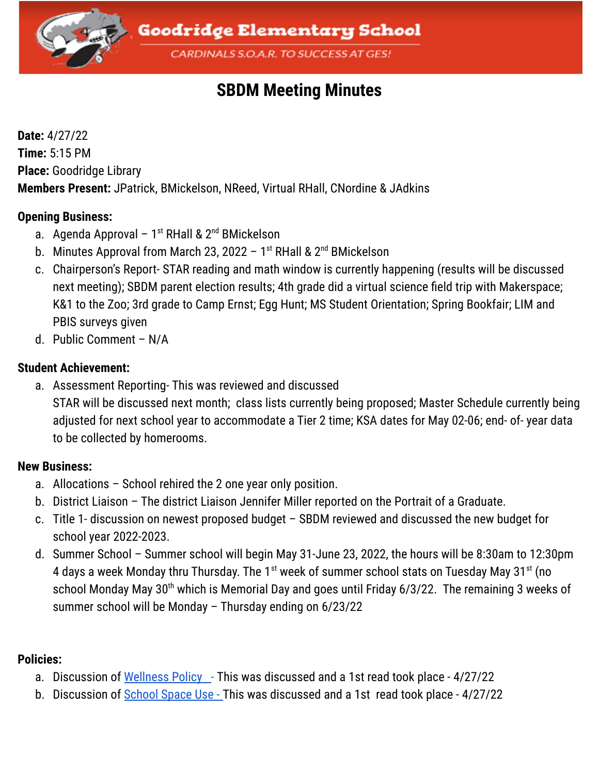

# **SBDM Meeting Minutes**

**Date:** 4/27/22 **Time:** 5:15 PM **Place:** Goodridge Library **Members Present:** JPatrick, BMickelson, NReed, Virtual RHall, CNordine & JAdkins

#### **Opening Business:**

- a. Agenda Approval 1<sup>st</sup> RHall & 2<sup>nd</sup> BMickelson
- b. Minutes Approval from March 23, 2022 1<sup>st</sup> RHall & 2<sup>nd</sup> BMickelson
- c. Chairperson's Report- STAR reading and math window is currently happening (results will be discussed next meeting); SBDM parent election results; 4th grade did a virtual science field trip with Makerspace; K&1 to the Zoo; 3rd grade to Camp Ernst; Egg Hunt; MS Student Orientation; Spring Bookfair; LIM and PBIS surveys given
- d. Public Comment N/A

### **Student Achievement:**

a. Assessment Reporting- This was reviewed and discussed STAR will be discussed next month; class lists currently being proposed; Master Schedule currently being adjusted for next school year to accommodate a Tier 2 time; KSA dates for May 02-06; end- of- year data to be collected by homerooms.

### **New Business:**

- a. Allocations School rehired the 2 one year only position.
- b. District Liaison The district Liaison Jennifer Miller reported on the Portrait of a Graduate.
- c. Title 1- discussion on newest proposed budget SBDM reviewed and discussed the new budget for school year 2022-2023.
- d. Summer School Summer school will begin May 31-June 23, 2022, the hours will be 8:30am to 12:30pm 4 days a week Monday thru Thursday. The 1st week of summer school stats on Tuesday May 31st (no school Monday May 30<sup>th</sup> which is Memorial Day and goes until Friday 6/3/22. The remaining 3 weeks of summer school will be Monday – Thursday ending on 6/23/22

## **Policies:**

- a. Discussion of [Wellness](https://docs.google.com/document/u/0/d/1urFGkrX7XQNB5IfHqnfEQYrSR51Qce5d9lkuknxqHuc/edit) Policy This was discussed and a 1st read took place 4/27/22
- b. Discussion of [School](https://docs.google.com/document/u/0/d/1n8HCKh9MTw3L3btn1hyRpFWuvDlaRasLpJkW5jWtZys/edit) Space Use This was discussed and a 1st read took place 4/27/22